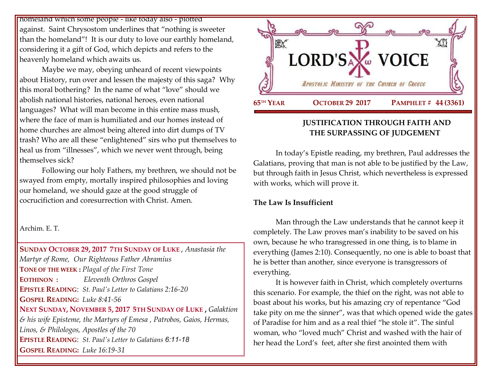homeland which some people - like today also - plotted against. Saint Chrysostom underlines that "nothing is sweeter than the homeland"! It is our duty to love our earthly homeland, considering it a gift of God, which depicts and refers to the heavenly homeland which awaits us.

Maybe we may, obeying unheard of recent viewpoints about History, run over and lessen the majesty of this saga? Why this moral bothering? In the name of what "love" should we abolish national histories, national heroes, even national languages? What will man become in this entire mass mush, where the face of man is humiliated and our homes instead of home churches are almost being altered into dirt dumps of TV trash? Who are all these "enlightened" sirs who put themselves to heal us from "illnesses", which we never went through, being themselves sick?

Following our holy Fathers, my brethren, we should not be swayed from empty, mortally inspired philosophies and loving our homeland, we should gaze at the good struggle of cocrucifiction and coresurrection with Christ. Amen.

Archim. E. T.

**SUNDAY OCTOBER 29, 2017 7TH S[UNDAY OF](https://www.goarch.org/chapel/saints?contentid=960&PCode=7LS&D=S&date=10/29/2017) LUKE** , *Anastasia the Martyr of Rome, [Our Righteous Father Abramius](https://www.goarch.org/chapel/saints?contentid=262)*  **TONE OF THE WEEK :** *Plagal of the First Tone* **EOTHINON :** *Eleventh Orthros Gospel* **EPISTLE READING**: *[St. Paul's Letter](https://www.goarch.org/chapel/lectionary?type=epistle&code=27&event=940&date=5/28/2017) to Galatians 2:16-20* **GOSPEL R[EADING](https://www.goarch.org/chapel/lectionary?type=gospel&code=43&event=940&date=5/28/2017):** *Luke 8:41-56* **NEXT SUNDAY, NOVEMBER 5, 2017 5TH S[UNDAY OF](https://www.goarch.org/chapel/saints?contentid=911&PCode=5LS&D=S&date=11/5/2017) LUKE ,** *[Galaktion](https://www.goarch.org/chapel/saints?contentid=275)  [& his wife Episteme, the Martyrs of Emesa](https://www.goarch.org/chapel/saints?contentid=275) , Patrobos, Gaios, Hermas, Linos, & Philologos, Apostles of the 70* **EPISTLE READING**: *[St. Paul's Letter](https://www.goarch.org/chapel/lectionary?type=epistle&code=27&event=940&date=5/28/2017) to Galatians 6:11-18* **GOSPEL R[EADING](https://www.goarch.org/chapel/lectionary?type=gospel&code=43&event=940&date=5/28/2017):** *Luke 16:19-31*



### **JUSTIFICATION THROUGH FAITH AND THE SURPASSING OF JUDGEMENT**

In today's Epistle reading, my brethren, Paul addresses the Galatians, proving that man is not able to be justified by the Law, but through faith in Jesus Christ, which nevertheless is expressed with works, which will prove it.

#### **The Law Is Insufficient**

Man through the Law understands that he cannot keep it completely. The Law proves man's inability to be saved on his own, because he who transgressed in one thing, is to blame in everything (James 2:10). Consequently, no one is able to boast that he is better than another, since everyone is transgressors of everything.

It is however faith in Christ, which completely overturns this scenario. For example, the thief on the right, was not able to boast about his works, but his amazing cry of repentance "God take pity on me the sinner", was that which opened wide the gates of Paradise for him and as a real thief "he stole it". The sinful woman, who "loved much" Christ and washed with the hair of her head the Lord'sfeet, after she first anointed them with